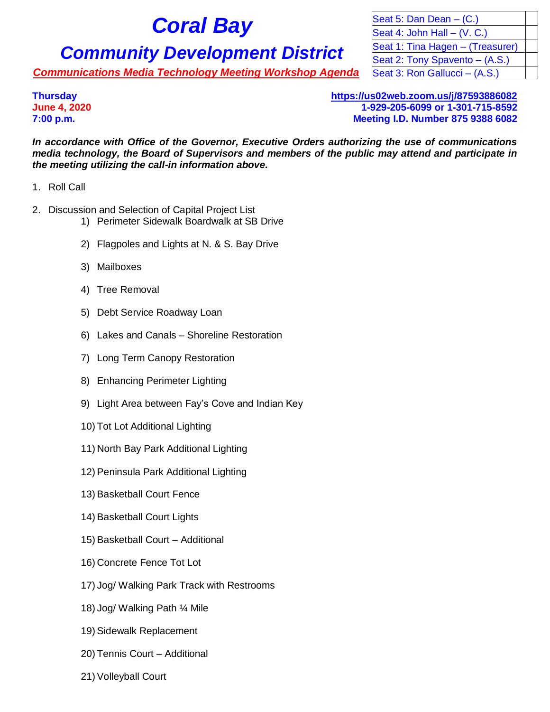## **Community Development District** Seat 1: Tina Hagen – (Treasurer)

**Communications Media Technology Meeting Workshop Agenda** Seat 3: Ron Gallucci – (A.S.)

**Coral Bay** Seat 5: Dan Dean – (C.)<br>Seat 4: John Hall – (V. C Seat 4: John Hall  $-$  (V. C.) Seat 2: Tony Spavento - (A.S.)

**Thursday <https://us02web.zoom.us/j/87593886082> June 4, 2020 1-929-205-6099 or 1-301-715-8592 7:00 p.m. Meeting I.D. Number 875 9388 6082**

*In accordance with Office of the Governor, Executive Orders authorizing the use of communications media technology, the Board of Supervisors and members of the public may attend and participate in the meeting utilizing the call-in information above.*

- 1. Roll Call
- 2. Discussion and Selection of Capital Project List
	- 1) Perimeter Sidewalk Boardwalk at SB Drive
	- 2) Flagpoles and Lights at N. & S. Bay Drive
	- 3) Mailboxes
	- 4) Tree Removal
	- 5) Debt Service Roadway Loan
	- 6) Lakes and Canals Shoreline Restoration
	- 7) Long Term Canopy Restoration
	- 8) Enhancing Perimeter Lighting
	- 9) Light Area between Fay's Cove and Indian Key
	- 10) Tot Lot Additional Lighting
	- 11) North Bay Park Additional Lighting
	- 12) Peninsula Park Additional Lighting
	- 13) Basketball Court Fence
	- 14) Basketball Court Lights
	- 15) Basketball Court Additional
	- 16) Concrete Fence Tot Lot
	- 17) Jog/ Walking Park Track with Restrooms
	- 18) Jog/ Walking Path ¼ Mile
	- 19) Sidewalk Replacement
	- 20) Tennis Court Additional
	- 21) Volleyball Court